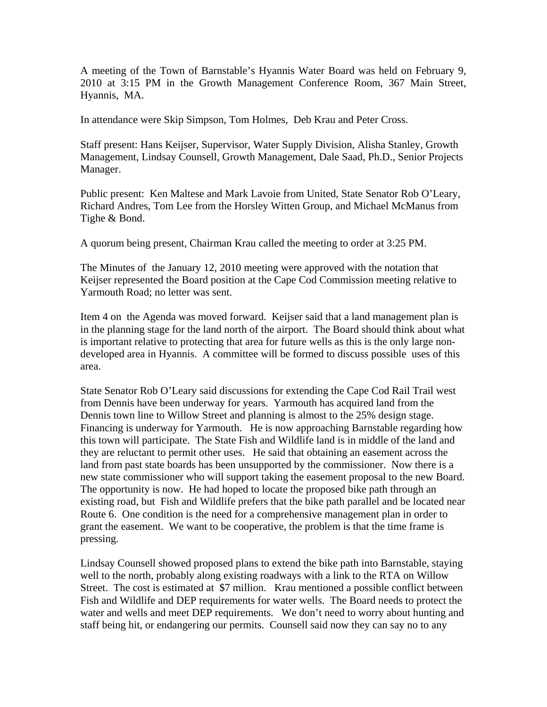A meeting of the Town of Barnstable's Hyannis Water Board was held on February 9, 2010 at 3:15 PM in the Growth Management Conference Room, 367 Main Street, Hyannis, MA.

In attendance were Skip Simpson, Tom Holmes, Deb Krau and Peter Cross.

Staff present: Hans Keijser, Supervisor, Water Supply Division, Alisha Stanley, Growth Management, Lindsay Counsell, Growth Management, Dale Saad, Ph.D., Senior Projects Manager.

Public present: Ken Maltese and Mark Lavoie from United, State Senator Rob O'Leary, Richard Andres, Tom Lee from the Horsley Witten Group, and Michael McManus from Tighe & Bond.

A quorum being present, Chairman Krau called the meeting to order at 3:25 PM.

The Minutes of the January 12, 2010 meeting were approved with the notation that Keijser represented the Board position at the Cape Cod Commission meeting relative to Yarmouth Road; no letter was sent.

Item 4 on the Agenda was moved forward. Keijser said that a land management plan is in the planning stage for the land north of the airport. The Board should think about what is important relative to protecting that area for future wells as this is the only large nondeveloped area in Hyannis. A committee will be formed to discuss possible uses of this area.

State Senator Rob O'Leary said discussions for extending the Cape Cod Rail Trail west from Dennis have been underway for years. Yarmouth has acquired land from the Dennis town line to Willow Street and planning is almost to the 25% design stage. Financing is underway for Yarmouth. He is now approaching Barnstable regarding how this town will participate. The State Fish and Wildlife land is in middle of the land and they are reluctant to permit other uses. He said that obtaining an easement across the land from past state boards has been unsupported by the commissioner. Now there is a new state commissioner who will support taking the easement proposal to the new Board. The opportunity is now. He had hoped to locate the proposed bike path through an existing road, but Fish and Wildlife prefers that the bike path parallel and be located near Route 6. One condition is the need for a comprehensive management plan in order to grant the easement. We want to be cooperative, the problem is that the time frame is pressing.

Lindsay Counsell showed proposed plans to extend the bike path into Barnstable, staying well to the north, probably along existing roadways with a link to the RTA on Willow Street. The cost is estimated at \$7 million. Krau mentioned a possible conflict between Fish and Wildlife and DEP requirements for water wells. The Board needs to protect the water and wells and meet DEP requirements. We don't need to worry about hunting and staff being hit, or endangering our permits. Counsell said now they can say no to any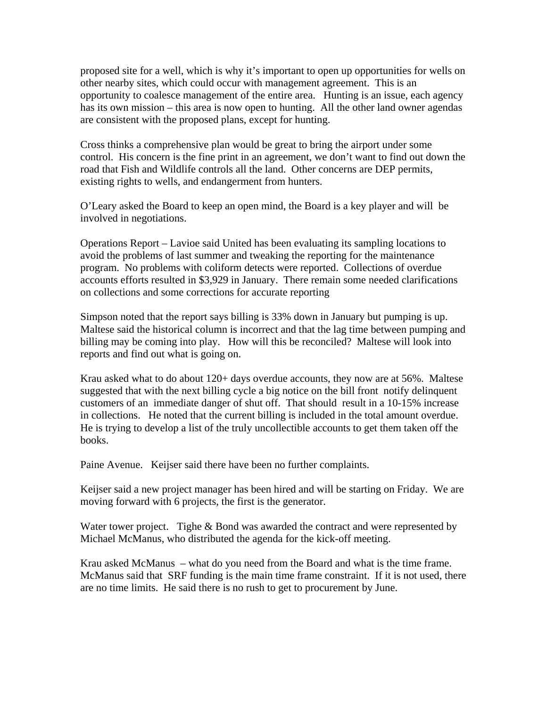proposed site for a well, which is why it's important to open up opportunities for wells on other nearby sites, which could occur with management agreement. This is an opportunity to coalesce management of the entire area. Hunting is an issue, each agency has its own mission – this area is now open to hunting. All the other land owner agendas are consistent with the proposed plans, except for hunting.

Cross thinks a comprehensive plan would be great to bring the airport under some control. His concern is the fine print in an agreement, we don't want to find out down the road that Fish and Wildlife controls all the land. Other concerns are DEP permits, existing rights to wells, and endangerment from hunters.

O'Leary asked the Board to keep an open mind, the Board is a key player and will be involved in negotiations.

Operations Report – Lavioe said United has been evaluating its sampling locations to avoid the problems of last summer and tweaking the reporting for the maintenance program. No problems with coliform detects were reported. Collections of overdue accounts efforts resulted in \$3,929 in January. There remain some needed clarifications on collections and some corrections for accurate reporting

Simpson noted that the report says billing is 33% down in January but pumping is up. Maltese said the historical column is incorrect and that the lag time between pumping and billing may be coming into play. How will this be reconciled? Maltese will look into reports and find out what is going on.

Krau asked what to do about 120+ days overdue accounts, they now are at 56%. Maltese suggested that with the next billing cycle a big notice on the bill front notify delinquent customers of an immediate danger of shut off. That should result in a 10-15% increase in collections. He noted that the current billing is included in the total amount overdue. He is trying to develop a list of the truly uncollectible accounts to get them taken off the books.

Paine Avenue. Keijser said there have been no further complaints.

Keijser said a new project manager has been hired and will be starting on Friday. We are moving forward with 6 projects, the first is the generator.

Water tower project. Tighe & Bond was awarded the contract and were represented by Michael McManus, who distributed the agenda for the kick-off meeting.

Krau asked McManus – what do you need from the Board and what is the time frame. McManus said that SRF funding is the main time frame constraint. If it is not used, there are no time limits. He said there is no rush to get to procurement by June.